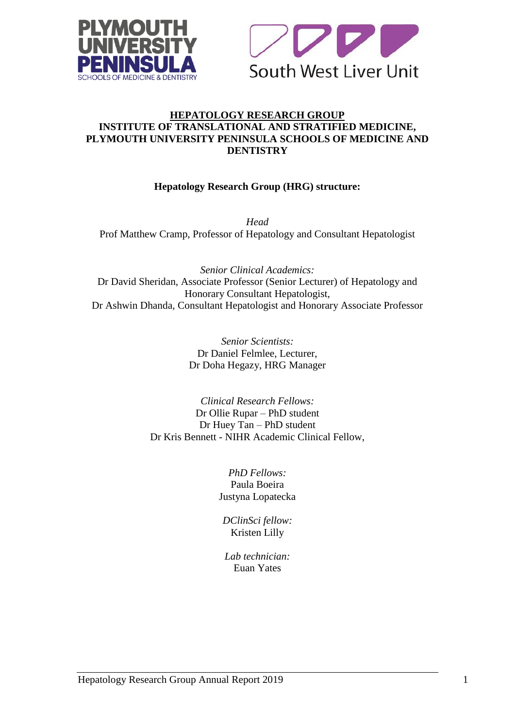



### **HEPATOLOGY RESEARCH GROUP INSTITUTE OF TRANSLATIONAL AND STRATIFIED MEDICINE, PLYMOUTH UNIVERSITY PENINSULA SCHOOLS OF MEDICINE AND DENTISTRY**

## **Hepatology Research Group (HRG) structure:**

*Head* Prof Matthew Cramp, Professor of Hepatology and Consultant Hepatologist

*Senior Clinical Academics:* Dr David Sheridan, Associate Professor (Senior Lecturer) of Hepatology and Honorary Consultant Hepatologist, Dr Ashwin Dhanda, Consultant Hepatologist and Honorary Associate Professor

> *Senior Scientists:* Dr Daniel Felmlee, Lecturer, Dr Doha Hegazy, HRG Manager

*Clinical Research Fellows:* Dr Ollie Rupar – PhD student Dr Huey Tan – PhD student Dr Kris Bennett - NIHR Academic Clinical Fellow,

> *PhD Fellows:* Paula Boeira Justyna Lopatecka

*DClinSci fellow:* Kristen Lilly

*Lab technician:* Euan Yates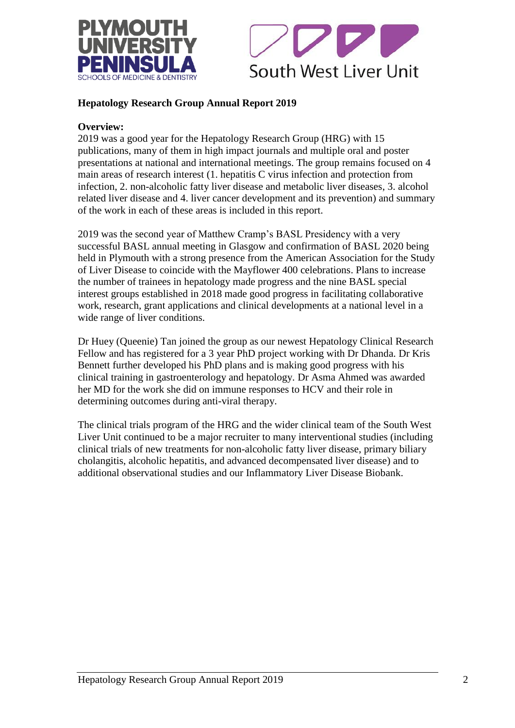



## **Hepatology Research Group Annual Report 2019**

### **Overview:**

2019 was a good year for the Hepatology Research Group (HRG) with 15 publications, many of them in high impact journals and multiple oral and poster presentations at national and international meetings. The group remains focused on 4 main areas of research interest (1. hepatitis C virus infection and protection from infection, 2. non-alcoholic fatty liver disease and metabolic liver diseases, 3. alcohol related liver disease and 4. liver cancer development and its prevention) and summary of the work in each of these areas is included in this report.

2019 was the second year of Matthew Cramp's BASL Presidency with a very successful BASL annual meeting in Glasgow and confirmation of BASL 2020 being held in Plymouth with a strong presence from the American Association for the Study of Liver Disease to coincide with the Mayflower 400 celebrations. Plans to increase the number of trainees in hepatology made progress and the nine BASL special interest groups established in 2018 made good progress in facilitating collaborative work, research, grant applications and clinical developments at a national level in a wide range of liver conditions.

Dr Huey (Queenie) Tan joined the group as our newest Hepatology Clinical Research Fellow and has registered for a 3 year PhD project working with Dr Dhanda. Dr Kris Bennett further developed his PhD plans and is making good progress with his clinical training in gastroenterology and hepatology. Dr Asma Ahmed was awarded her MD for the work she did on immune responses to HCV and their role in determining outcomes during anti-viral therapy.

The clinical trials program of the HRG and the wider clinical team of the South West Liver Unit continued to be a major recruiter to many interventional studies (including clinical trials of new treatments for non-alcoholic fatty liver disease, primary biliary cholangitis, alcoholic hepatitis, and advanced decompensated liver disease) and to additional observational studies and our Inflammatory Liver Disease Biobank.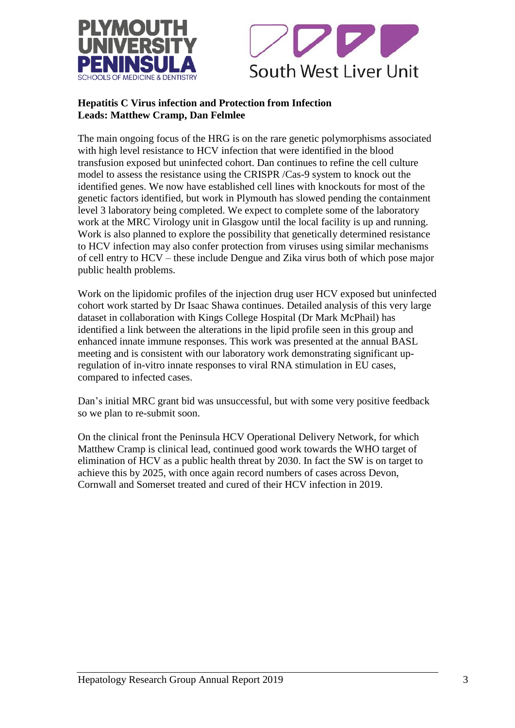



## **Hepatitis C Virus infection and Protection from Infection Leads: Matthew Cramp, Dan Felmlee**

The main ongoing focus of the HRG is on the rare genetic polymorphisms associated with high level resistance to HCV infection that were identified in the blood transfusion exposed but uninfected cohort. Dan continues to refine the cell culture model to assess the resistance using the CRISPR /Cas-9 system to knock out the identified genes. We now have established cell lines with knockouts for most of the genetic factors identified, but work in Plymouth has slowed pending the containment level 3 laboratory being completed. We expect to complete some of the laboratory work at the MRC Virology unit in Glasgow until the local facility is up and running. Work is also planned to explore the possibility that genetically determined resistance to HCV infection may also confer protection from viruses using similar mechanisms of cell entry to HCV – these include Dengue and Zika virus both of which pose major public health problems.

Work on the lipidomic profiles of the injection drug user HCV exposed but uninfected cohort work started by Dr Isaac Shawa continues. Detailed analysis of this very large dataset in collaboration with Kings College Hospital (Dr Mark McPhail) has identified a link between the alterations in the lipid profile seen in this group and enhanced innate immune responses. This work was presented at the annual BASL meeting and is consistent with our laboratory work demonstrating significant upregulation of in-vitro innate responses to viral RNA stimulation in EU cases, compared to infected cases.

Dan's initial MRC grant bid was unsuccessful, but with some very positive feedback so we plan to re-submit soon.

On the clinical front the Peninsula HCV Operational Delivery Network, for which Matthew Cramp is clinical lead, continued good work towards the WHO target of elimination of HCV as a public health threat by 2030. In fact the SW is on target to achieve this by 2025, with once again record numbers of cases across Devon, Cornwall and Somerset treated and cured of their HCV infection in 2019.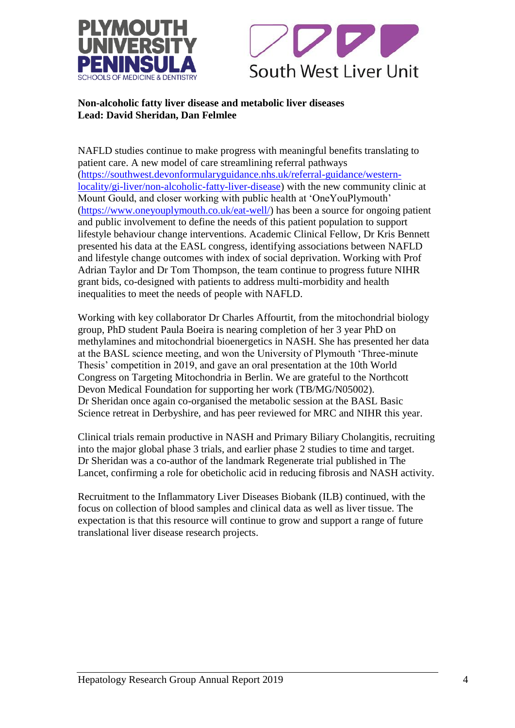



## **Non-alcoholic fatty liver disease and metabolic liver diseases Lead: David Sheridan, Dan Felmlee**

NAFLD studies continue to make progress with meaningful benefits translating to patient care. A new model of care streamlining referral pathways [\(https://southwest.devonformularyguidance.nhs.uk/referral-guidance/western](https://southwest.devonformularyguidance.nhs.uk/referral-guidance/western-locality/gi-liver/non-alcoholic-fatty-liver-disease)[locality/gi-liver/non-alcoholic-fatty-liver-disease\)](https://southwest.devonformularyguidance.nhs.uk/referral-guidance/western-locality/gi-liver/non-alcoholic-fatty-liver-disease) with the new community clinic at Mount Gould, and closer working with public health at 'OneYouPlymouth' [\(https://www.oneyouplymouth.co.uk/eat-well/\)](https://www.oneyouplymouth.co.uk/eat-well/) has been a source for ongoing patient and public involvement to define the needs of this patient population to support lifestyle behaviour change interventions. Academic Clinical Fellow, Dr Kris Bennett presented his data at the EASL congress, identifying associations between NAFLD and lifestyle change outcomes with index of social deprivation. Working with Prof Adrian Taylor and Dr Tom Thompson, the team continue to progress future NIHR grant bids, co-designed with patients to address multi-morbidity and health inequalities to meet the needs of people with NAFLD.

Working with key collaborator Dr Charles Affourtit, from the mitochondrial biology group, PhD student Paula Boeira is nearing completion of her 3 year PhD on methylamines and mitochondrial bioenergetics in NASH. She has presented her data at the BASL science meeting, and won the University of Plymouth 'Three-minute Thesis' competition in 2019, and gave an oral presentation at the 10th World Congress on Targeting Mitochondria in Berlin. We are grateful to the Northcott Devon Medical Foundation for supporting her work (TB/MG/N05002). Dr Sheridan once again co-organised the metabolic session at the BASL Basic Science retreat in Derbyshire, and has peer reviewed for MRC and NIHR this year.

Clinical trials remain productive in NASH and Primary Biliary Cholangitis, recruiting into the major global phase 3 trials, and earlier phase 2 studies to time and target. Dr Sheridan was a co-author of the landmark Regenerate trial published in The Lancet, confirming a role for obeticholic acid in reducing fibrosis and NASH activity.

Recruitment to the Inflammatory Liver Diseases Biobank (ILB) continued, with the focus on collection of blood samples and clinical data as well as liver tissue. The expectation is that this resource will continue to grow and support a range of future translational liver disease research projects.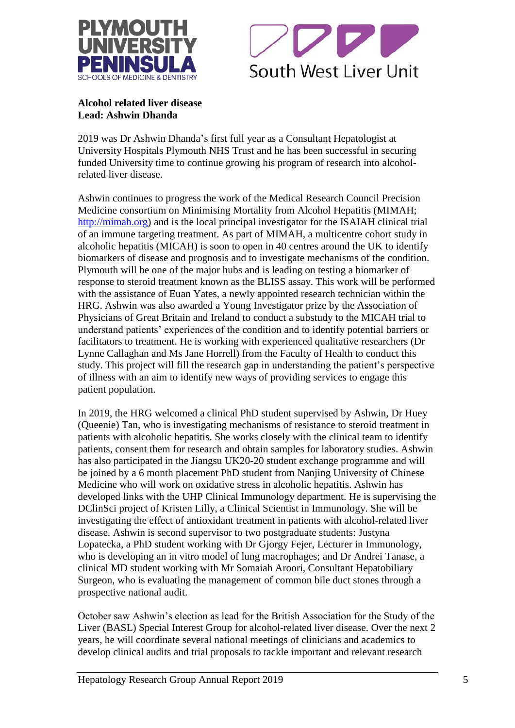



**Alcohol related liver disease Lead: Ashwin Dhanda**

2019 was Dr Ashwin Dhanda's first full year as a Consultant Hepatologist at University Hospitals Plymouth NHS Trust and he has been successful in securing funded University time to continue growing his program of research into alcoholrelated liver disease.

Ashwin continues to progress the work of the Medical Research Council Precision Medicine consortium on Minimising Mortality from Alcohol Hepatitis (MIMAH; [http://mimah.org\)](http://mimah.org/) and is the local principal investigator for the ISAIAH clinical trial of an immune targeting treatment. As part of MIMAH, a multicentre cohort study in alcoholic hepatitis (MICAH) is soon to open in 40 centres around the UK to identify biomarkers of disease and prognosis and to investigate mechanisms of the condition. Plymouth will be one of the major hubs and is leading on testing a biomarker of response to steroid treatment known as the BLISS assay. This work will be performed with the assistance of Euan Yates, a newly appointed research technician within the HRG. Ashwin was also awarded a Young Investigator prize by the Association of Physicians of Great Britain and Ireland to conduct a substudy to the MICAH trial to understand patients' experiences of the condition and to identify potential barriers or facilitators to treatment. He is working with experienced qualitative researchers (Dr Lynne Callaghan and Ms Jane Horrell) from the Faculty of Health to conduct this study. This project will fill the research gap in understanding the patient's perspective of illness with an aim to identify new ways of providing services to engage this patient population.

In 2019, the HRG welcomed a clinical PhD student supervised by Ashwin, Dr Huey (Queenie) Tan, who is investigating mechanisms of resistance to steroid treatment in patients with alcoholic hepatitis. She works closely with the clinical team to identify patients, consent them for research and obtain samples for laboratory studies. Ashwin has also participated in the Jiangsu UK20-20 student exchange programme and will be joined by a 6 month placement PhD student from Nanjing University of Chinese Medicine who will work on oxidative stress in alcoholic hepatitis. Ashwin has developed links with the UHP Clinical Immunology department. He is supervising the DClinSci project of Kristen Lilly, a Clinical Scientist in Immunology. She will be investigating the effect of antioxidant treatment in patients with alcohol-related liver disease. Ashwin is second supervisor to two postgraduate students: Justyna Lopatecka, a PhD student working with Dr Gjorgy Fejer, Lecturer in Immunology, who is developing an in vitro model of lung macrophages; and Dr Andrei Tanase, a clinical MD student working with Mr Somaiah Aroori, Consultant Hepatobiliary Surgeon, who is evaluating the management of common bile duct stones through a prospective national audit.

October saw Ashwin's election as lead for the British Association for the Study of the Liver (BASL) Special Interest Group for alcohol-related liver disease. Over the next 2 years, he will coordinate several national meetings of clinicians and academics to develop clinical audits and trial proposals to tackle important and relevant research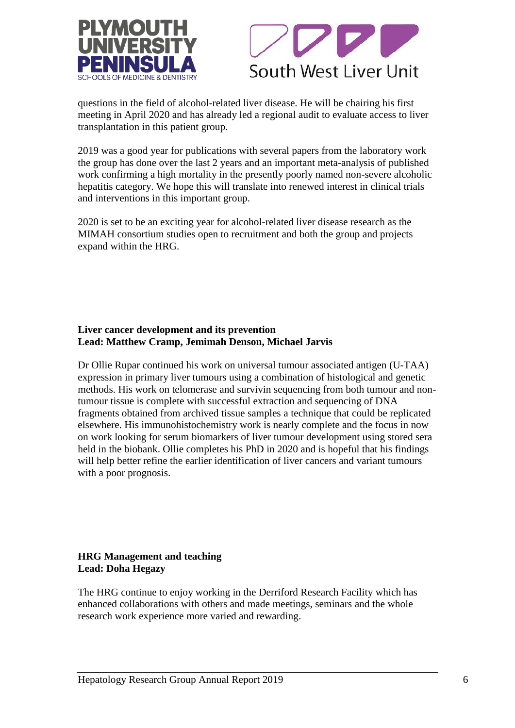



questions in the field of alcohol-related liver disease. He will be chairing his first meeting in April 2020 and has already led a regional audit to evaluate access to liver transplantation in this patient group.

2019 was a good year for publications with several papers from the laboratory work the group has done over the last 2 years and an important meta-analysis of published work confirming a high mortality in the presently poorly named non-severe alcoholic hepatitis category. We hope this will translate into renewed interest in clinical trials and interventions in this important group.

2020 is set to be an exciting year for alcohol-related liver disease research as the MIMAH consortium studies open to recruitment and both the group and projects expand within the HRG.

#### **Liver cancer development and its prevention Lead: Matthew Cramp, Jemimah Denson, Michael Jarvis**

Dr Ollie Rupar continued his work on universal tumour associated antigen (U-TAA) expression in primary liver tumours using a combination of histological and genetic methods. His work on telomerase and survivin sequencing from both tumour and nontumour tissue is complete with successful extraction and sequencing of DNA fragments obtained from archived tissue samples a technique that could be replicated elsewhere. His immunohistochemistry work is nearly complete and the focus in now on work looking for serum biomarkers of liver tumour development using stored sera held in the biobank. Ollie completes his PhD in 2020 and is hopeful that his findings will help better refine the earlier identification of liver cancers and variant tumours with a poor prognosis.

## **HRG Management and teaching Lead: Doha Hegazy**

The HRG continue to enjoy working in the Derriford Research Facility which has enhanced collaborations with others and made meetings, seminars and the whole research work experience more varied and rewarding.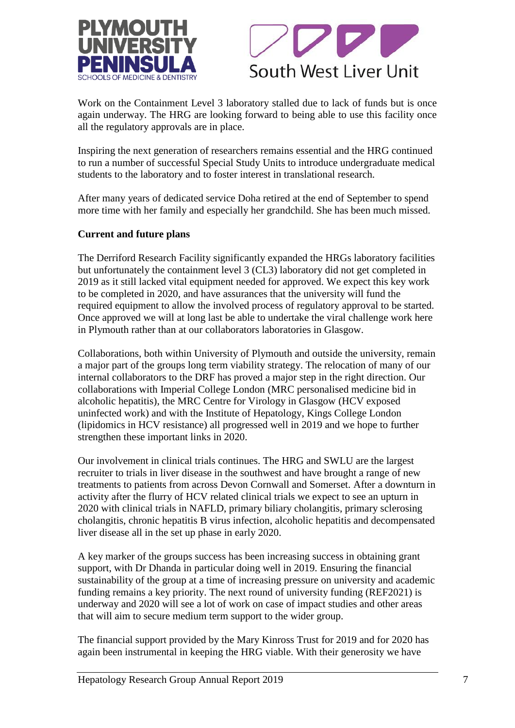



Work on the Containment Level 3 laboratory stalled due to lack of funds but is once again underway. The HRG are looking forward to being able to use this facility once all the regulatory approvals are in place.

Inspiring the next generation of researchers remains essential and the HRG continued to run a number of successful Special Study Units to introduce undergraduate medical students to the laboratory and to foster interest in translational research.

After many years of dedicated service Doha retired at the end of September to spend more time with her family and especially her grandchild. She has been much missed.

### **Current and future plans**

The Derriford Research Facility significantly expanded the HRGs laboratory facilities but unfortunately the containment level 3 (CL3) laboratory did not get completed in 2019 as it still lacked vital equipment needed for approved. We expect this key work to be completed in 2020, and have assurances that the university will fund the required equipment to allow the involved process of regulatory approval to be started. Once approved we will at long last be able to undertake the viral challenge work here in Plymouth rather than at our collaborators laboratories in Glasgow.

Collaborations, both within University of Plymouth and outside the university, remain a major part of the groups long term viability strategy. The relocation of many of our internal collaborators to the DRF has proved a major step in the right direction. Our collaborations with Imperial College London (MRC personalised medicine bid in alcoholic hepatitis), the MRC Centre for Virology in Glasgow (HCV exposed uninfected work) and with the Institute of Hepatology, Kings College London (lipidomics in HCV resistance) all progressed well in 2019 and we hope to further strengthen these important links in 2020.

Our involvement in clinical trials continues. The HRG and SWLU are the largest recruiter to trials in liver disease in the southwest and have brought a range of new treatments to patients from across Devon Cornwall and Somerset. After a downturn in activity after the flurry of HCV related clinical trials we expect to see an upturn in 2020 with clinical trials in NAFLD, primary biliary cholangitis, primary sclerosing cholangitis, chronic hepatitis B virus infection, alcoholic hepatitis and decompensated liver disease all in the set up phase in early 2020.

A key marker of the groups success has been increasing success in obtaining grant support, with Dr Dhanda in particular doing well in 2019. Ensuring the financial sustainability of the group at a time of increasing pressure on university and academic funding remains a key priority. The next round of university funding (REF2021) is underway and 2020 will see a lot of work on case of impact studies and other areas that will aim to secure medium term support to the wider group.

The financial support provided by the Mary Kinross Trust for 2019 and for 2020 has again been instrumental in keeping the HRG viable. With their generosity we have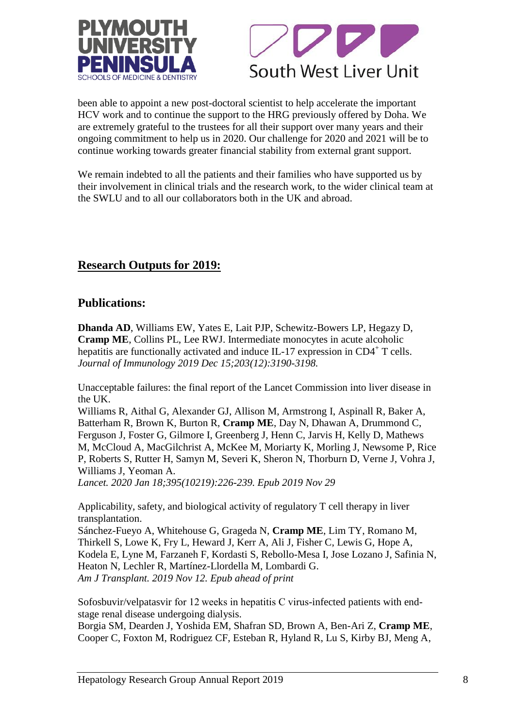



been able to appoint a new post-doctoral scientist to help accelerate the important HCV work and to continue the support to the HRG previously offered by Doha. We are extremely grateful to the trustees for all their support over many years and their ongoing commitment to help us in 2020. Our challenge for 2020 and 2021 will be to continue working towards greater financial stability from external grant support.

We remain indebted to all the patients and their families who have supported us by their involvement in clinical trials and the research work, to the wider clinical team at the SWLU and to all our collaborators both in the UK and abroad.

# **Research Outputs for 2019:**

## **Publications:**

**Dhanda AD**, Williams EW, Yates E, Lait PJP, Schewitz-Bowers LP, Hegazy D, **Cramp ME**, Collins PL, Lee RWJ. Intermediate monocytes in acute alcoholic hepatitis are functionally activated and induce IL-17 expression in CD4<sup>+</sup> T cells. *Journal of Immunology 2019 Dec 15;203(12):3190-3198.* 

[Unacceptable failures: the final report of the Lancet Commission into liver disease in](https://www.ncbi.nlm.nih.gov/pubmed/31791690)  [the UK.](https://www.ncbi.nlm.nih.gov/pubmed/31791690)

Williams R, Aithal G, Alexander GJ, Allison M, Armstrong I, Aspinall R, Baker A, Batterham R, Brown K, Burton R, **Cramp ME**, Day N, Dhawan A, Drummond C, Ferguson J, Foster G, Gilmore I, Greenberg J, Henn C, Jarvis H, Kelly D, Mathews M, McCloud A, MacGilchrist A, McKee M, Moriarty K, Morling J, Newsome P, Rice P, Roberts S, Rutter H, Samyn M, Severi K, Sheron N, Thorburn D, Verne J, Vohra J, Williams J, Yeoman A.

*Lancet. 2020 Jan 18;395(10219):226-239. Epub 2019 Nov 29*

[Applicability, safety, and biological activity of regulatory T cell therapy in liver](https://www.ncbi.nlm.nih.gov/pubmed/31715056)  [transplantation.](https://www.ncbi.nlm.nih.gov/pubmed/31715056)

Sánchez-Fueyo A, Whitehouse G, Grageda N, **Cramp ME**, Lim TY, Romano M, Thirkell S, Lowe K, Fry L, Heward J, Kerr A, Ali J, Fisher C, Lewis G, Hope A, Kodela E, Lyne M, Farzaneh F, Kordasti S, Rebollo-Mesa I, Jose Lozano J, Safinia N, Heaton N, Lechler R, Martínez-Llordella M, Lombardi G. *Am J Transplant. 2019 Nov 12. Epub ahead of print*

Sofosbuvir/velpatasvir [for 12 weeks in hepatitis C virus-infected patients with end](https://www.ncbi.nlm.nih.gov/pubmed/31195062)[stage renal disease undergoing dialysis.](https://www.ncbi.nlm.nih.gov/pubmed/31195062)

Borgia SM, Dearden J, Yoshida EM, Shafran SD, Brown A, Ben-Ari Z, **Cramp ME**, Cooper C, Foxton M, Rodriguez CF, Esteban R, Hyland R, Lu S, Kirby BJ, Meng A,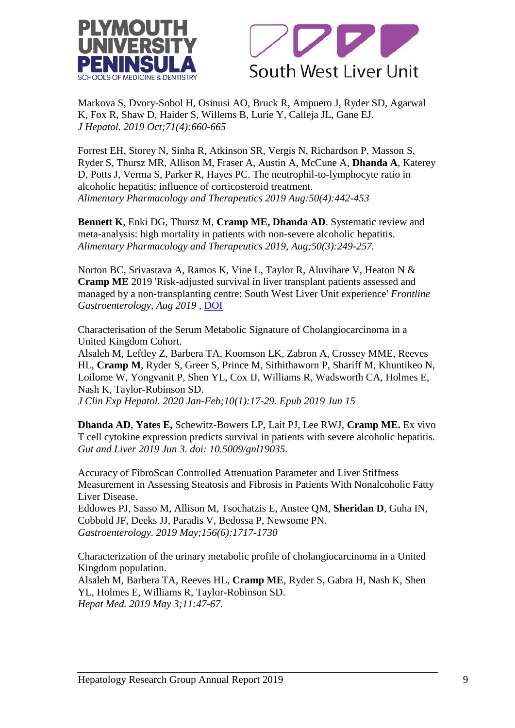



Markova S, Dvory-Sobol H, Osinusi AO, Bruck R, Ampuero J, Ryder SD, Agarwal K, Fox R, Shaw D, Haider S, Willems B, Lurie Y, Calleja JL, Gane EJ. *J Hepatol. 2019 Oct;71(4):660-665*

Forrest EH, Storey N, Sinha R, Atkinson SR, Vergis N, Richardson P, Masson S, Ryder S, Thursz MR, Allison M, Fraser A, Austin A, McCune A, **Dhanda A**, Katerey D, Potts J, Verma S, Parker R, Hayes PC. The neutrophil-to-lymphocyte ratio in alcoholic hepatitis: influence of corticosteroid treatment. *Alimentary Pharmacology and Therapeutics 2019 Aug:50(4):442-453*

**Bennett K**, Enki DG, Thursz M, **Cramp ME, Dhanda AD**. Systematic review and meta-analysis: high mortality in patients with non-severe alcoholic hepatitis. *Alimentary Pharmacology and Therapeutics 2019, Aug;50(3):249-257.*

Norton BC, Srivastava A, Ramos K, Vine L, Taylor R, Aluvihare V, Heaton N & **Cramp ME** 2019 'Risk-adjusted survival in liver transplant patients assessed and managed by a non-transplanting centre: South West Liver Unit experience' *Frontline Gastroenterology, Aug 2019* , [DOI](http://dx.doi.org/10.1136/flgastro-2019-101200)

[Characterisation of the Serum Metabolic Signature of Cholangiocarcinoma in a](https://www.ncbi.nlm.nih.gov/pubmed/32025163)  [United Kingdom Cohort.](https://www.ncbi.nlm.nih.gov/pubmed/32025163)

Alsaleh M, Leftley Z, Barbera TA, Koomson LK, Zabron A, Crossey MME, Reeves HL, **Cramp M**, Ryder S, Greer S, Prince M, Sithithaworn P, Shariff M, Khuntikeo N, Loilome W, Yongvanit P, Shen YL, Cox IJ, Williams R, Wadsworth CA, Holmes E, Nash K, Taylor-Robinson SD.

*J Clin Exp Hepatol. 2020 Jan-Feb;10(1):17-29. Epub 2019 Jun 15*

**Dhanda AD**, **Yates E,** Schewitz-Bowers LP, Lait PJ, Lee RWJ, **Cramp ME.** Ex vivo T cell cytokine expression predicts survival in patients with severe alcoholic hepatitis. *Gut and Liver 2019 Jun 3. doi: 10.5009/gnl19035.*

[Accuracy of FibroScan Controlled Attenuation Parameter and Liver Stiffness](https://www.ncbi.nlm.nih.gov/pubmed/30689971)  [Measurement in Assessing Steatosis and Fibrosis in Patients With Nonalcoholic Fatty](https://www.ncbi.nlm.nih.gov/pubmed/30689971)  [Liver Disease.](https://www.ncbi.nlm.nih.gov/pubmed/30689971)

Eddowes PJ, Sasso M, Allison M, Tsochatzis E, Anstee QM, **Sheridan D**, Guha IN, Cobbold JF, Deeks JJ, Paradis V, Bedossa P, Newsome PN. *Gastroenterology. 2019 May;156(6):1717-1730*

[Characterization of the urinary metabolic profile of cholangiocarcinoma in a United](https://www.ncbi.nlm.nih.gov/pubmed/31118840)  [Kingdom population.](https://www.ncbi.nlm.nih.gov/pubmed/31118840)

Alsaleh M, Barbera TA, Reeves HL, **Cramp ME**, Ryder S, Gabra H, Nash K, Shen YL, Holmes E, Williams R, Taylor-Robinson SD. *Hepat Med. 2019 May 3;11:47-67.*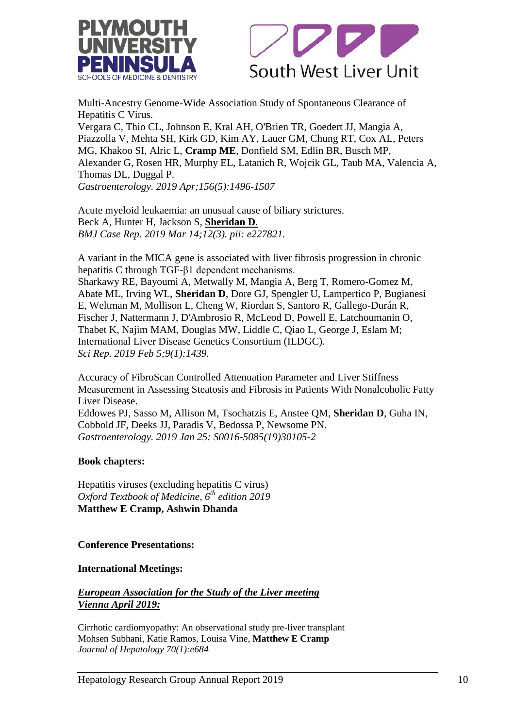



[Multi-Ancestry Genome-Wide Association Study of Spontaneous Clearance of](https://www.ncbi.nlm.nih.gov/pubmed/30593799)  [Hepatitis C Virus.](https://www.ncbi.nlm.nih.gov/pubmed/30593799)

Vergara C, Thio CL, Johnson E, Kral AH, O'Brien TR, Goedert JJ, Mangia A, Piazzolla V, Mehta SH, Kirk GD, Kim AY, Lauer GM, Chung RT, Cox AL, Peters MG, Khakoo SI, Alric L, **Cramp ME**, Donfield SM, Edlin BR, Busch MP, Alexander G, Rosen HR, Murphy EL, Latanich R, Wojcik GL, Taub MA, Valencia A, Thomas DL, Duggal P. *Gastroenterology. 2019 Apr;156(5):1496-1507*

[Acute myeloid leukaemia: an unusual cause of biliary strictures.](https://www.ncbi.nlm.nih.gov/pubmed/30872340) Beck A, Hunter H, Jackson S, **Sheridan D**. *BMJ Case Rep. 2019 Mar 14;12(3). pii: e227821.* 

[A variant in the MICA gene is associated with liver fibrosis progression in chronic](https://www.ncbi.nlm.nih.gov/pubmed/30723271)  [hepatitis C through TGF-β1 dependent mechanisms.](https://www.ncbi.nlm.nih.gov/pubmed/30723271) Sharkawy RE, Bayoumi A, Metwally M, Mangia A, Berg T, Romero-Gomez M, Abate ML, Irving WL, **Sheridan D**, Dore GJ, Spengler U, Lampertico P, Bugianesi E, Weltman M, Mollison L, Cheng W, Riordan S, Santoro R, Gallego-Durán R, Fischer J, Nattermann J, D'Ambrosio R, McLeod D, Powell E, Latchoumanin O, Thabet K, Najim MAM, Douglas MW, Liddle C, Qiao L, George J, Eslam M; International Liver Disease Genetics Consortium (ILDGC). *Sci Rep. 2019 Feb 5;9(1):1439.*

Accuracy of FibroScan Controlled Attenuation Parameter and Liver Stiffness Measurement in Assessing Steatosis and Fibrosis in Patients With Nonalcoholic Fatty Liver Disease.

Eddowes PJ, Sasso M, Allison M, Tsochatzis E, Anstee QM, **Sheridan D**, Guha IN, Cobbold JF, Deeks JJ, Paradis V, Bedossa P, Newsome PN. *Gastroenterology. 2019 Jan 25: S0016-5085(19)30105-2*

### **Book chapters:**

Hepatitis viruses (excluding hepatitis C virus) *Oxford Textbook of Medicine, 6th edition 2019* **Matthew E Cramp, Ashwin Dhanda**

### **Conference Presentations:**

### **International Meetings:**

## *European Association for the Study of the Liver meeting Vienna April 2019:*

Cirrhotic cardiomyopathy: An observational study pre-liver transplant Mohsen Subhani, Katie Ramos, Louisa Vine, **Matthew E Cramp** *Journal of Hepatology 70(1):e684*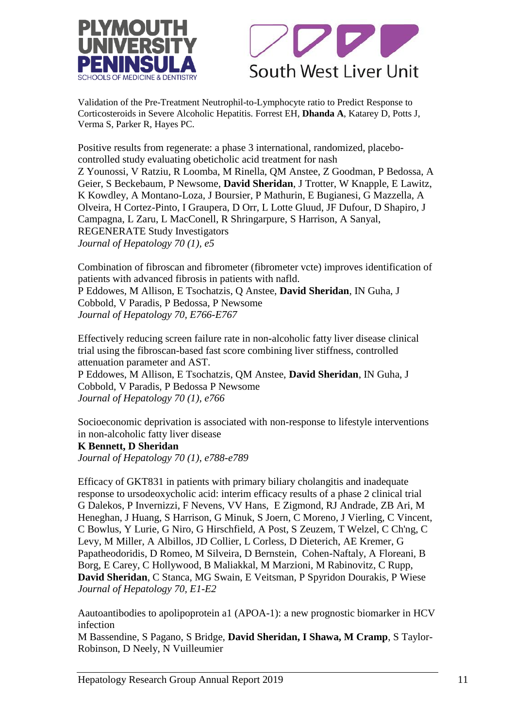



Validation of the Pre-Treatment Neutrophil-to-Lymphocyte ratio to Predict Response to Corticosteroids in Severe Alcoholic Hepatitis. Forrest EH, **Dhanda A**, Katarey D, Potts J, Verma S, Parker R, Hayes PC.

Positive results from regenerate: a phase 3 international, randomized, placebocontrolled study evaluating obeticholic acid treatment for nash Z Younossi, V Ratziu, R Loomba, M Rinella, QM Anstee, Z Goodman, P Bedossa, A Geier, S Beckebaum, P Newsome, **David Sheridan**, J Trotter, W Knapple, E Lawitz, K Kowdley, A Montano-Loza, J Boursier, P Mathurin, E Bugianesi, G Mazzella, A Olveira, H Cortez-Pinto, I Graupera, D Orr, L Lotte Gluud, JF Dufour, D Shapiro, J Campagna, L Zaru, L MacConell, R Shringarpure, S Harrison, A Sanyal, REGENERATE Study Investigators *Journal of Hepatology 70 (1), e5*

Combination of fibroscan and fibrometer (fibrometer vcte) improves identification of patients with advanced fibrosis in patients with nafld. P Eddowes, M Allison, E Tsochatzis, Q Anstee, **David Sheridan**, IN Guha, J Cobbold, V Paradis, P Bedossa, P Newsome *Journal of Hepatology 70, E766-E767*

Effectively reducing screen failure rate in non-alcoholic fatty liver disease clinical trial using the fibroscan-based fast score combining liver stiffness, controlled attenuation parameter and AST.

P Eddowes, M Allison, E Tsochatzis, QM Anstee, **David Sheridan**, IN Guha, J Cobbold, V Paradis, P Bedossa P Newsome *Journal of Hepatology 70 (1), e766*

Socioeconomic deprivation is associated with non-response to lifestyle interventions in non-alcoholic fatty liver disease

### **K Bennett, D Sheridan**

*Journal of Hepatology 70 (1), e788-e789*

Efficacy of GKT831 in patients with primary biliary cholangitis and inadequate response to ursodeoxycholic acid: interim efficacy results of a phase 2 clinical trial G Dalekos, P Invernizzi, F Nevens, VV Hans, E Zigmond, RJ Andrade, ZB Ari, M Heneghan, J Huang, S Harrison, G Minuk, S Joern, C Moreno, J Vierling, C Vincent, C Bowlus, Y Lurie, G Niro, G Hirschfield, A Post, S Zeuzem, T Welzel, C Ch'ng, C Levy, M Miller, A Albillos, JD Collier, L Corless, D Dieterich, AE Kremer, G Papatheodoridis, D Romeo, M Silveira, D Bernstein, Cohen-Naftaly, A Floreani, B Borg, E Carey, C Hollywood, B Maliakkal, M Marzioni, M Rabinovitz, C Rupp, **David Sheridan**, C Stanca, MG Swain, E Veitsman, P Spyridon Dourakis, P Wiese *Journal of Hepatology 70, E1-E2*

Aautoantibodies to apolipoprotein a1 (APOA-1): a new prognostic biomarker in HCV infection

M Bassendine, S Pagano, S Bridge, **David Sheridan, I Shawa, M Cramp**, S Taylor-Robinson, D Neely, N Vuilleumier